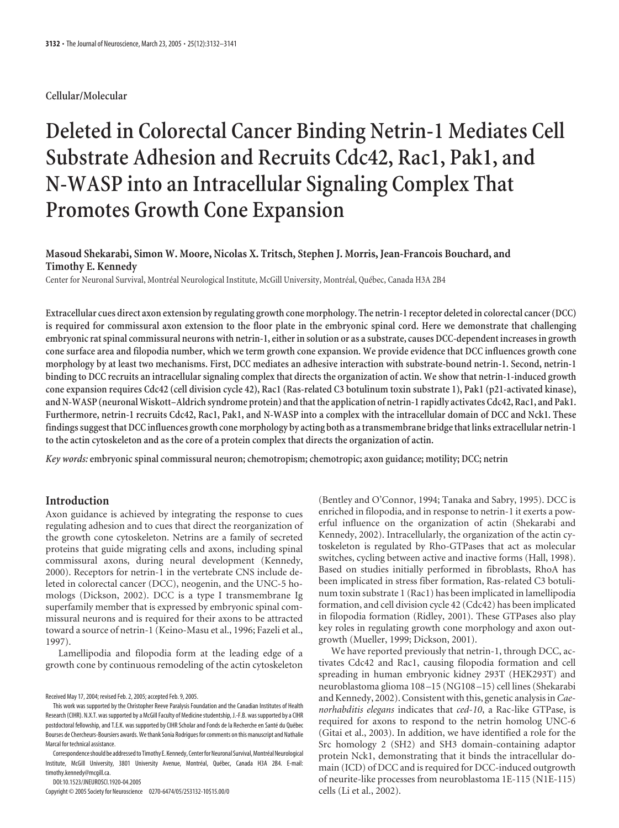# **Cellular/Molecular**

# **Deleted in Colorectal Cancer Binding Netrin-1 Mediates Cell Substrate Adhesion and Recruits Cdc42, Rac1, Pak1, and N-WASP into an Intracellular Signaling Complex That Promotes Growth Cone Expansion**

# **Masoud Shekarabi, Simon W. Moore, Nicolas X. Tritsch, Stephen J. Morris, Jean-Francois Bouchard, and Timothy E. Kennedy**

Center for Neuronal Survival, Montréal Neurological Institute, McGill University, Montréal, Québec, Canada H3A 2B4

**Extracellular cues direct axon extension by regulating growth cone morphology. The netrin-1 receptor deleted in colorectal cancer (DCC) is required for commissural axon extension to the floor plate in the embryonic spinal cord. Here we demonstrate that challenging embryonic rat spinal commissural neurons with netrin-1, either in solution or as a substrate, causes DCC-dependent increases in growth cone surface area and filopodia number, which we term growth cone expansion. We provide evidence that DCC influences growth cone morphology by at least two mechanisms. First, DCC mediates an adhesive interaction with substrate-bound netrin-1. Second, netrin-1 binding to DCC recruits an intracellular signaling complex that directs the organization of actin. We show that netrin-1-induced growth cone expansion requires Cdc42 (cell division cycle 42), Rac1 (Ras-related C3 botulinum toxin substrate 1), Pak1 (p21-activated kinase), and N-WASP (neuronal Wiskott–Aldrich syndrome protein) andthatthe application of netrin-1 rapidly activates Cdc42, Rac1, and Pak1. Furthermore, netrin-1 recruits Cdc42, Rac1, Pak1, and N-WASP into a complex with the intracellular domain of DCC and Nck1. These findings suggestthat DCC influences growth cone morphology by acting both as atransmembrane bridgethat links extracellular netrin-1 to the actin cytoskeleton and as the core of a protein complex that directs the organization of actin.**

*Key words:* **embryonic spinal commissural neuron; chemotropism; chemotropic; axon guidance; motility; DCC; netrin**

# **Introduction**

Axon guidance is achieved by integrating the response to cues regulating adhesion and to cues that direct the reorganization of the growth cone cytoskeleton. Netrins are a family of secreted proteins that guide migrating cells and axons, including spinal commissural axons, during neural development (Kennedy, 2000). Receptors for netrin-1 in the vertebrate CNS include deleted in colorectal cancer (DCC), neogenin, and the UNC-5 homologs (Dickson, 2002). DCC is a type I transmembrane Ig superfamily member that is expressed by embryonic spinal commissural neurons and is required for their axons to be attracted toward a source of netrin-1 (Keino-Masu et al., 1996; Fazeli et al., 1997).

Lamellipodia and filopodia form at the leading edge of a growth cone by continuous remodeling of the actin cytoskeleton

Received May 17, 2004; revised Feb. 2, 2005; accepted Feb. 9, 2005.

Correspondence should be addressed to Timothy E. Kennedy, Center for Neuronal Survival, Montréal Neurological Institute, McGill University, 3801 University Avenue, Montréal, Québec, Canada H3A 2B4. E-mail: timothy.kennedy@mcgill.ca.

DOI:10.1523/JNEUROSCI.1920-04.2005

Copyright © 2005 Society for Neuroscience 0270-6474/05/253132-10\$15.00/0

(Bentley and O'Connor, 1994; Tanaka and Sabry, 1995). DCC is enriched in filopodia, and in response to netrin-1 it exerts a powerful influence on the organization of actin (Shekarabi and Kennedy, 2002). Intracellularly, the organization of the actin cytoskeleton is regulated by Rho-GTPases that act as molecular switches, cycling between active and inactive forms (Hall, 1998). Based on studies initially performed in fibroblasts, RhoA has been implicated in stress fiber formation, Ras-related C3 botulinum toxin substrate 1 (Rac1) has been implicated in lamellipodia formation, and cell division cycle 42 (Cdc42) has been implicated in filopodia formation (Ridley, 2001). These GTPases also play key roles in regulating growth cone morphology and axon outgrowth (Mueller, 1999; Dickson, 2001).

We have reported previously that netrin-1, through DCC, activates Cdc42 and Rac1, causing filopodia formation and cell spreading in human embryonic kidney 293T (HEK293T) and neuroblastoma glioma 108 –15 (NG108 –15) cell lines (Shekarabi and Kennedy, 2002). Consistent with this, genetic analysis in*Caenorhabditis elegans* indicates that *ced-10*, a Rac-like GTPase, is required for axons to respond to the netrin homolog UNC-6 (Gitai et al., 2003). In addition, we have identified a role for the Src homology 2 (SH2) and SH3 domain-containing adaptor protein Nck1, demonstrating that it binds the intracellular domain (ICD) of DCC and is required for DCC-induced outgrowth of neurite-like processes from neuroblastoma 1E-115 (N1E-115) cells (Li et al., 2002).

This work was supported by the Christopher Reeve Paralysis Foundation and the Canadian Institutes of Health Research (CIHR). N.X.T. was supported by a McGill Faculty of Medicine studentship, J.-F.B. was supported by a CIHR postdoctoral fellowship, and T.E.K. was supported by CIHR Scholar and Fonds de la Recherche en Santé du Québec Bourses de Chercheurs-Boursiers awards. We thank Sonia Rodrigues for comments on this manuscript and Nathalie Marcal for technical assistance.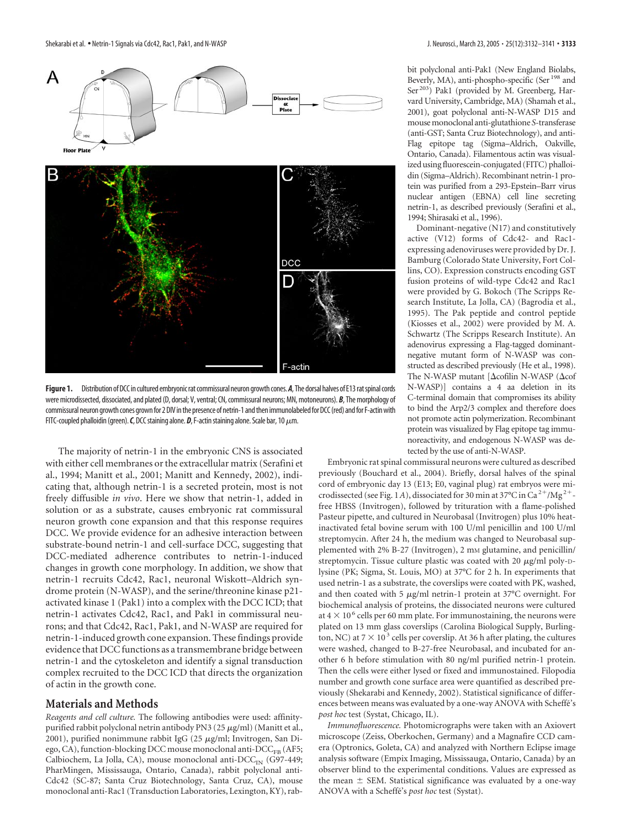

Figure 1. Distribution of DCC in cultured embryonic rat commissural neuron growth cones. A, The dorsal halves of E13 rat spinal cords were microdissected, dissociated, and plated (D, dorsal; V, ventral; CN, commissural neurons; MN, motoneurons). *B*, The morphology of commissural neuron growth cones grown for 2 DIV in the presence of netrin-1 and then immunolabeled for DCC (red) and for F-actin with FITC-coupled phalloidin (green).  $C$ , DCC staining alone.  $D$ , F-actin staining alone. Scale bar, 10  $\mu$ m.

The majority of netrin-1 in the embryonic CNS is associated with either cell membranes or the extracellular matrix (Serafini et al., 1994; Manitt et al., 2001; Manitt and Kennedy, 2002), indicating that, although netrin-1 is a secreted protein, most is not freely diffusible *in vivo*. Here we show that netrin-1, added in solution or as a substrate, causes embryonic rat commissural neuron growth cone expansion and that this response requires DCC. We provide evidence for an adhesive interaction between substrate-bound netrin-1 and cell-surface DCC, suggesting that DCC-mediated adherence contributes to netrin-1-induced changes in growth cone morphology. In addition, we show that netrin-1 recruits Cdc42, Rac1, neuronal Wiskott–Aldrich syndrome protein (N-WASP), and the serine/threonine kinase p21 activated kinase 1 (Pak1) into a complex with the DCC ICD; that netrin-1 activates Cdc42, Rac1, and Pak1 in commissural neurons; and that Cdc42, Rac1, Pak1, and N-WASP are required for netrin-1-induced growth cone expansion. These findings provide evidence that DCC functions as a transmembrane bridge between netrin-1 and the cytoskeleton and identify a signal transduction complex recruited to the DCC ICD that directs the organization of actin in the growth cone.

#### **Materials and Methods**

*Reagents and cell culture.* The following antibodies were used: affinitypurified rabbit polyclonal netrin antibody PN3 (25  $\mu$ g/ml) (Manitt et al., 2001), purified nonimmune rabbit IgG (25  $\mu$ g/ml; Invitrogen, San Diego, CA), function-blocking DCC mouse monoclonal anti- $\text{DCC}_{\text{FB}}$  (AF5; Calbiochem, La Jolla, CA), mouse monoclonal anti-DCC<sub>IN</sub> (G97-449; PharMingen, Mississauga, Ontario, Canada), rabbit polyclonal anti-Cdc42 (SC-87; Santa Cruz Biotechnology, Santa Cruz, CA), mouse monoclonal anti-Rac1 (Transduction Laboratories, Lexington, KY), rabbit polyclonal anti-Pak1 (New England Biolabs, Beverly, MA), anti-phospho-specific (Ser<sup>198</sup> and Ser 203) Pak1 (provided by M. Greenberg, Harvard University, Cambridge, MA) (Shamah et al., 2001), goat polyclonal anti-N-WASP D15 and mousemonoclonal anti-glutathione *S*-transferase (anti-GST; Santa Cruz Biotechnology), and anti-Flag epitope tag (Sigma–Aldrich, Oakville, Ontario, Canada). Filamentous actin was visualized using fluorescein-conjugated (FITC) phalloidin (Sigma–Aldrich). Recombinant netrin-1 protein was purified from a 293-Epstein–Barr virus nuclear antigen (EBNA) cell line secreting netrin-1, as described previously (Serafini et al., 1994; Shirasaki et al., 1996).

Dominant-negative (N17) and constitutively active (V12) forms of Cdc42- and Rac1 expressing adenoviruses were provided by Dr. J. Bamburg (Colorado State University, Fort Collins, CO). Expression constructs encoding GST fusion proteins of wild-type Cdc42 and Rac1 were provided by G. Bokoch (The Scripps Research Institute, La Jolla, CA) (Bagrodia et al., 1995). The Pak peptide and control peptide (Kiosses et al., 2002) were provided by M. A. Schwartz (The Scripps Research Institute). An adenovirus expressing a Flag-tagged dominantnegative mutant form of N-WASP was constructed as described previously (He et al., 1998). The N-WASP mutant [ $\Delta$ cofilin N-WASP ( $\Delta$ cof N-WASP)] contains a 4 aa deletion in its C-terminal domain that compromises its ability to bind the Arp2/3 complex and therefore does not promote actin polymerization. Recombinant protein was visualized by Flag epitope tag immunoreactivity, and endogenous N-WASP was detected by the use of anti-N-WASP.

Embryonic rat spinal commissural neurons were cultured as described previously (Bouchard et al., 2004). Briefly, dorsal halves of the spinal cord of embryonic day 13 (E13; E0, vaginal plug) rat embryos were microdissected (see Fig. 1A), dissociated for 30 min at 37°C in Ca<sup>2+</sup>/Mg<sup>2+</sup>free HBSS (Invitrogen), followed by trituration with a flame-polished Pasteur pipette, and cultured in Neurobasal (Invitrogen) plus 10% heatinactivated fetal bovine serum with 100 U/ml penicillin and 100 U/ml streptomycin. After 24 h, the medium was changed to Neurobasal supplemented with 2% B-27 (Invitrogen), 2 mm glutamine, and penicillin/ streptomycin. Tissue culture plastic was coated with 20  $\mu$ g/ml poly-Dlysine (PK; Sigma, St. Louis, MO) at 37°C for 2 h. In experiments that used netrin-1 as a substrate, the coverslips were coated with PK, washed, and then coated with 5  $\mu$ g/ml netrin-1 protein at 37°C overnight. For biochemical analysis of proteins, the dissociated neurons were cultured at 4  $\times$  10<sup>6</sup> cells per 60 mm plate. For immunostaining, the neurons were plated on 13 mm glass coverslips (Carolina Biological Supply, Burlington, NC) at  $7 \times 10^3$  cells per coverslip. At 36 h after plating, the cultures were washed, changed to B-27-free Neurobasal, and incubated for another 6 h before stimulation with 80 ng/ml purified netrin-1 protein. Then the cells were either lysed or fixed and immunostained. Filopodia number and growth cone surface area were quantified as described previously (Shekarabi and Kennedy, 2002). Statistical significance of differences between means was evaluated by a one-way ANOVA with Scheffe´'s *post hoc* test (Systat, Chicago, IL).

*Immunofluorescence.* Photomicrographs were taken with an Axiovert microscope (Zeiss, Oberkochen, Germany) and a Magnafire CCD camera (Optronics, Goleta, CA) and analyzed with Northern Eclipse image analysis software (Empix Imaging, Mississauga, Ontario, Canada) by an observer blind to the experimental conditions. Values are expressed as the mean  $\pm$  SEM. Statistical significance was evaluated by a one-way ANOVA with a Scheffe´'s *post hoc* test (Systat).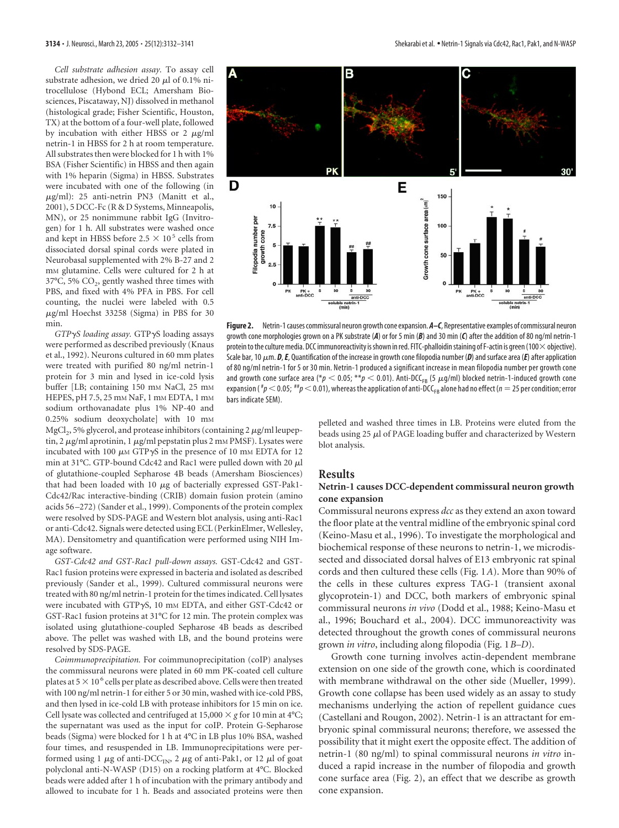*Cell substrate adhesion assay.* To assay cell substrate adhesion, we dried 20  $\mu$ l of 0.1% nitrocellulose (Hybond ECL; Amersham Biosciences, Piscataway, NJ) dissolved in methanol (histological grade; Fisher Scientific, Houston, TX) at the bottom of a four-well plate, followed by incubation with either HBSS or  $2 \mu g/ml$ netrin-1 in HBSS for 2 h at room temperature. All substrates then were blocked for 1 h with 1% BSA (Fisher Scientific) in HBSS and then again with 1% heparin (Sigma) in HBSS. Substrates were incubated with one of the following (in  $\mu$ g/ml): 25 anti-netrin PN3 (Manitt et al., 2001), 5 DCC-Fc (R & D Systems, Minneapolis, MN), or 25 nonimmune rabbit IgG (Invitrogen) for 1 h. All substrates were washed once and kept in HBSS before 2.5  $\times$  10<sup>5</sup> cells from dissociated dorsal spinal cords were plated in Neurobasal supplemented with 2% B-27 and 2 m<sub>M</sub> glutamine. Cells were cultured for 2 h at  $37^{\circ}$ C, 5% CO<sub>2</sub>, gently washed three times with PBS, and fixed with 4% PFA in PBS. For cell counting, the nuclei were labeled with 0.5  $\mu$ g/ml Hoechst 33258 (Sigma) in PBS for 30 min.

*GTP*-*S loading assay.* GTP-S loading assays were performed as described previously (Knaus et al., 1992). Neurons cultured in 60 mm plates were treated with purified 80 ng/ml netrin-1 protein for 3 min and lysed in ice-cold lysis buffer [LB; containing 150 mm NaCl, 25 mm HEPES, pH 7.5, 25 mM NaF, 1 mM EDTA, 1 mM sodium orthovanadate plus 1% NP-40 and 0.25% sodium deoxycholate] with 10 mM

 $MgCl<sub>2</sub>$ , 5% glycerol, and protease inhibitors (containing 2  $\mu$ g/ml leupeptin, 2  $\mu$ g/ml aprotinin, 1  $\mu$ g/ml pepstatin plus 2 mm PMSF). Lysates were incubated with 100  $\mu$ m GTP $\gamma$ S in the presence of 10 mm EDTA for 12 min at 31°C. GTP-bound Cdc42 and Rac1 were pulled down with 20  $\mu$ l of glutathione-coupled Sepharose 4B beads (Amersham Biosciences) that had been loaded with 10  $\mu$ g of bacterially expressed GST-Pak1-Cdc42/Rac interactive-binding (CRIB) domain fusion protein (amino acids 56 –272) (Sander et al., 1999). Components of the protein complex were resolved by SDS-PAGE and Western blot analysis, using anti-Rac1 or anti-Cdc42. Signals were detected using ECL (PerkinElmer, Wellesley, MA). Densitometry and quantification were performed using NIH Image software.

*GST-Cdc42 and GST-Rac1 pull-down assays.* GST-Cdc42 and GST-Rac1 fusion proteins were expressed in bacteria and isolated as described previously (Sander et al., 1999). Cultured commissural neurons were treated with 80 ng/ml netrin-1 protein for the times indicated. Cell lysates were incubated with GTP-S, 10 mM EDTA, and either GST-Cdc42 or GST-Rac1 fusion proteins at 31°C for 12 min. The protein complex was isolated using glutathione-coupled Sepharose 4B beads as described above. The pellet was washed with LB, and the bound proteins were resolved by SDS-PAGE.

*Coimmunoprecipitation.* For coimmunoprecipitation (coIP) analyses the commissural neurons were plated in 60 mm PK-coated cell culture plates at  $5 \times 10^6$  cells per plate as described above. Cells were then treated with 100 ng/ml netrin-1 for either 5 or 30 min, washed with ice-cold PBS, and then lysed in ice-cold LB with protease inhibitors for 15 min on ice. Cell lysate was collected and centrifuged at 15,000  $\times$  g for 10 min at 4°C; the supernatant was used as the input for coIP. Protein G-Sepharose beads (Sigma) were blocked for 1 h at 4°C in LB plus 10% BSA, washed four times, and resuspended in LB. Immunoprecipitations were performed using 1  $\mu$ g of anti-DCC<sub>IN</sub>, 2  $\mu$ g of anti-Pak1, or 12  $\mu$ l of goat polyclonal anti-N-WASP (D15) on a rocking platform at 4°C. Blocked beads were added after 1 h of incubation with the primary antibody and allowed to incubate for 1 h. Beads and associated proteins were then



**Figure 2.** Netrin-1 causes commissural neuron growth cone expansion. *A–C*, Representative examples of commissural neuron growth cone morphologies grown on a PK substrate (*A*) or for 5 min (*B*) and 30 min (*C*) after the addition of 80 ng/ml netrin-1 protein to the culture media. DCC immunoreactivity is shown in red. FITC-phalloidin staining of F-actin is green (100 $\times$  objective). Scale bar, 10  $\mu$ m. **D, E**, Quantification of the increase in growth cone filopodia number (**D**) and surface area (**E**) after application of 80 ng/ml netrin-1 for 5 or 30 min. Netrin-1 produced a significant increase in mean filopodia number per growth cone and growth cone surface area (\* $p < 0.05$ ; \*\* $p < 0.01$ ). Anti-DCC<sub>FB</sub> (5  $\mu$ g/ml) blocked netrin-1-induced growth cone expansion (*#p*  $<$  0.05; *##p*  $<$  0.01), whereas the application of anti-DCC<sub>FB</sub> alone had no effect (*n*  $=$  25 per condition; error bars indicate SEM).

pelleted and washed three times in LB. Proteins were eluted from the beads using  $25 \mu l$  of PAGE loading buffer and characterized by Western blot analysis.

#### **Results**

## **Netrin-1 causes DCC-dependent commissural neuron growth cone expansion**

Commissural neurons express *dcc* as they extend an axon toward the floor plate at the ventral midline of the embryonic spinal cord (Keino-Masu et al., 1996). To investigate the morphological and biochemical response of these neurons to netrin-1, we microdissected and dissociated dorsal halves of E13 embryonic rat spinal cords and then cultured these cells (Fig. 1*A*). More than 90% of the cells in these cultures express TAG-1 (transient axonal glycoprotein-1) and DCC, both markers of embryonic spinal commissural neurons *in vivo* (Dodd et al., 1988; Keino-Masu et al., 1996; Bouchard et al., 2004). DCC immunoreactivity was detected throughout the growth cones of commissural neurons grown *in vitro*, including along filopodia (Fig. 1*B–D*).

Growth cone turning involves actin-dependent membrane extension on one side of the growth cone, which is coordinated with membrane withdrawal on the other side (Mueller, 1999). Growth cone collapse has been used widely as an assay to study mechanisms underlying the action of repellent guidance cues (Castellani and Rougon, 2002). Netrin-1 is an attractant for embryonic spinal commissural neurons; therefore, we assessed the possibility that it might exert the opposite effect. The addition of netrin-1 (80 ng/ml) to spinal commissural neurons *in vitro* induced a rapid increase in the number of filopodia and growth cone surface area (Fig. 2), an effect that we describe as growth cone expansion.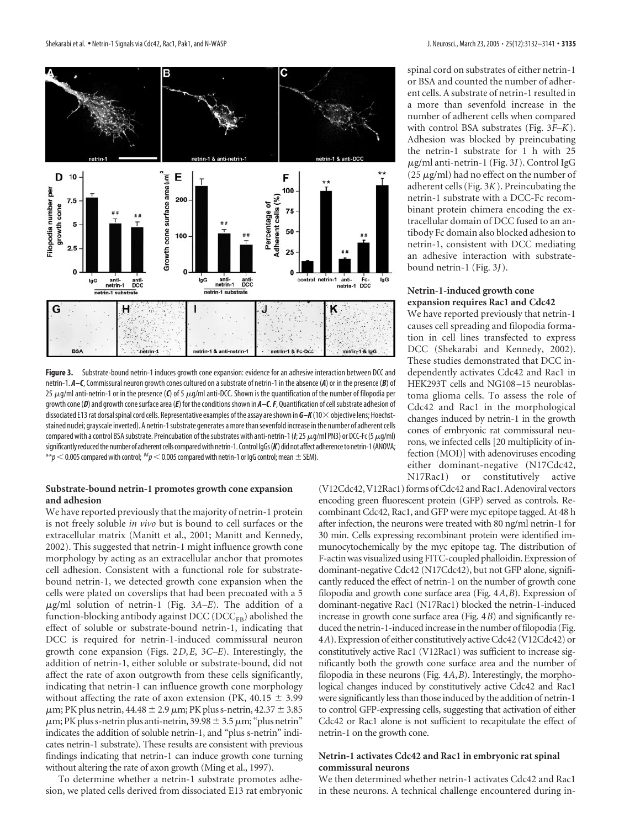

**Figure 3.** Substrate-bound netrin-1 induces growth cone expansion: evidence for an adhesive interaction between DCC and netrin-1. *A–C*, Commissural neuron growth cones cultured on a substrate of netrin-1 in the absence (*A*) or in the presence (*B*) of 25  $\mu$ g/ml anti-netrin-1 or in the presence (C) of 5  $\mu$ g/ml anti-DCC. Shown is the quantification of the number of filopodia per growth cone (D) and growth cone surface area (E) for the conditions shown in  $A-C$ . F, Quantification of cell substrate adhesion of dissociated E13 rat dorsal spinal cord cells. Representative examples of the assay are shown in  $G-K(10\times$  objective lens; Hoechststained nuclei; grayscale inverted). A netrin-1substrate generates amorethansevenfold increase inthe number of adherent cells compared with a control BSA substrate. Preincubation of the substrates with anti-netrin-1 (*I*; 25  $\mu$ g/ml PN3) or DCC-Fc (5  $\mu$ g/ml) significantly reduced the number of adherent cells compared with netrin-1. Control IqGs (K) did not affect adherence to netrin-1 (ANOVA;  $**p<$  0.005 compared with control;  $^{**}p<$  0.005 compared with netrin-1 or IgG control; mean  $\pm$  SEM).

# **Substrate-bound netrin-1 promotes growth cone expansion and adhesion**

We have reported previously that the majority of netrin-1 protein is not freely soluble *in vivo* but is bound to cell surfaces or the extracellular matrix (Manitt et al., 2001; Manitt and Kennedy, 2002). This suggested that netrin-1 might influence growth cone morphology by acting as an extracellular anchor that promotes cell adhesion. Consistent with a functional role for substratebound netrin-1, we detected growth cone expansion when the cells were plated on coverslips that had been precoated with a 5 g/ml solution of netrin-1 (Fig. 3*A–E*). The addition of a function-blocking antibody against DCC (DCC<sub>FB</sub>) abolished the effect of soluble or substrate-bound netrin-1, indicating that DCC is required for netrin-1-induced commissural neuron growth cone expansion (Figs. 2*D*,*E*, 3*C–E*). Interestingly, the addition of netrin-1, either soluble or substrate-bound, did not affect the rate of axon outgrowth from these cells significantly, indicating that netrin-1 can influence growth cone morphology without affecting the rate of axon extension (PK,  $40.15 \pm 3.99$ )  $\mu$ m; PK plus netrin, 44.48  $\pm$  2.9  $\mu$ m; PK plus s-netrin, 42.37  $\pm$  3.85  $\mu$ m; PK plus s-netrin plus anti-netrin, 39.98  $\pm$  3.5  $\mu$ m; "plus netrin" indicates the addition of soluble netrin-1, and "plus s-netrin" indicates netrin-1 substrate). These results are consistent with previous findings indicating that netrin-1 can induce growth cone turning without altering the rate of axon growth (Ming et al., 1997).

To determine whether a netrin-1 substrate promotes adhesion, we plated cells derived from dissociated E13 rat embryonic spinal cord on substrates of either netrin-1 or BSA and counted the number of adherent cells. A substrate of netrin-1 resulted in a more than sevenfold increase in the number of adherent cells when compared with control BSA substrates (Fig. 3*F–K*). Adhesion was blocked by preincubating the netrin-1 substrate for 1 h with 25 g/ml anti-netrin-1 (Fig. 3*I*). Control IgG (25  $\mu$ g/ml) had no effect on the number of adherent cells (Fig. 3*K*). Preincubating the netrin-1 substrate with a DCC-Fc recombinant protein chimera encoding the extracellular domain of DCC fused to an antibody Fc domain also blocked adhesion to netrin-1, consistent with DCC mediating an adhesive interaction with substratebound netrin-1 (Fig. 3*J*).

#### **Netrin-1-induced growth cone expansion requires Rac1 and Cdc42**

We have reported previously that netrin-1 causes cell spreading and filopodia formation in cell lines transfected to express DCC (Shekarabi and Kennedy, 2002). These studies demonstrated that DCC independently activates Cdc42 and Rac1 in HEK293T cells and NG108 –15 neuroblastoma glioma cells. To assess the role of Cdc42 and Rac1 in the morphological changes induced by netrin-1 in the growth cones of embryonic rat commissural neurons, we infected cells [20 multiplicity of infection (MOI)] with adenoviruses encoding either dominant-negative (N17Cdc42, N17Rac1) or constitutively active

(V12Cdc42, V12Rac1) forms of Cdc42 and Rac1. Adenoviral vectors encoding green fluorescent protein (GFP) served as controls. Recombinant Cdc42, Rac1, and GFP were myc epitope tagged. At 48 h after infection, the neurons were treated with 80 ng/ml netrin-1 for 30 min. Cells expressing recombinant protein were identified immunocytochemically by the myc epitope tag. The distribution of F-actin was visualized using FITC-coupled phalloidin. Expression of dominant-negative Cdc42 (N17Cdc42), but not GFP alone, significantly reduced the effect of netrin-1 on the number of growth cone filopodia and growth cone surface area (Fig. 4*A*,*B*). Expression of dominant-negative Rac1 (N17Rac1) blocked the netrin-1-induced increase in growth cone surface area (Fig. 4*B*) and significantly reduced the netrin-1-induced increase in the number of filopodia (Fig. 4*A*). Expression of either constitutively active Cdc42 (V12Cdc42) or constitutively active Rac1 (V12Rac1) was sufficient to increase significantly both the growth cone surface area and the number of filopodia in these neurons (Fig. 4*A*,*B*). Interestingly, the morphological changes induced by constitutively active Cdc42 and Rac1 were significantly less than those induced by the addition of netrin-1 to control GFP-expressing cells, suggesting that activation of either Cdc42 or Rac1 alone is not sufficient to recapitulate the effect of netrin-1 on the growth cone.

# **Netrin-1 activates Cdc42 and Rac1 in embryonic rat spinal commissural neurons**

We then determined whether netrin-1 activates Cdc42 and Rac1 in these neurons. A technical challenge encountered during in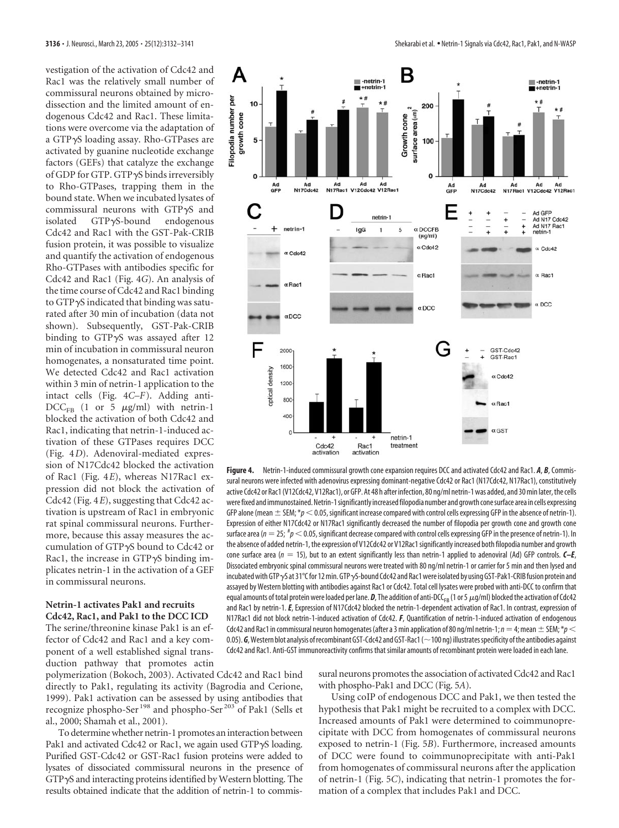vestigation of the activation of Cdc42 and Rac1 was the relatively small number of commissural neurons obtained by microdissection and the limited amount of endogenous Cdc42 and Rac1. These limitations were overcome via the adaptation of a GTP-S loading assay. Rho-GTPases are activated by guanine nucleotide exchange factors (GEFs) that catalyze the exchange of GDP for GTP. GTP-S binds irreversibly to Rho-GTPases, trapping them in the bound state. When we incubated lysates of commissural neurons with GTP $\gamma$ S and isolated  $GTP\gamma S$ -bound endogenous Cdc42 and Rac1 with the GST-Pak-CRIB fusion protein, it was possible to visualize and quantify the activation of endogenous Rho-GTPases with antibodies specific for Cdc42 and Rac1 (Fig. 4*G*). An analysis of the time course of Cdc42 and Rac1 binding to GTP  $\gamma$ S indicated that binding was saturated after 30 min of incubation (data not shown). Subsequently, GST-Pak-CRIB binding to GTP $\gamma$ S was assayed after 12 min of incubation in commissural neuron homogenates, a nonsaturated time point. We detected Cdc42 and Rac1 activation within 3 min of netrin-1 application to the intact cells (Fig. 4*C–F*). Adding anti- $DCC_{FB}$  (1 or 5  $\mu$ g/ml) with netrin-1 blocked the activation of both Cdc42 and Rac1, indicating that netrin-1-induced activation of these GTPases requires DCC (Fig. 4*D*). Adenoviral-mediated expression of N17Cdc42 blocked the activation of Rac1 (Fig. 4*E*), whereas N17Rac1 expression did not block the activation of Cdc42 (Fig. 4*E*), suggesting that Cdc42 activation is upstream of Rac1 in embryonic rat spinal commissural neurons. Furthermore, because this assay measures the accumulation of GTP-S bound to Cdc42 or Rac1, the increase in  $GTP\gamma S$  binding implicates netrin-1 in the activation of a GEF in commissural neurons.

#### **Netrin-1 activates Pak1 and recruits Cdc42, Rac1, and Pak1 to the DCC ICD**

The serine/threonine kinase Pak1 is an effector of Cdc42 and Rac1 and a key component of a well established signal transduction pathway that promotes actin

polymerization (Bokoch, 2003). Activated Cdc42 and Rac1 bind directly to Pak1, regulating its activity (Bagrodia and Cerione, 1999). Pak1 activation can be assessed by using antibodies that recognize phospho-Ser <sup>198</sup> and phospho-Ser<sup>203</sup> of Pak1 (Sells et al., 2000; Shamah et al., 2001).

To determine whether netrin-1 promotes an interaction between Pak1 and activated Cdc42 or Rac1, we again used GTP $\gamma$ S loading. Purified GST-Cdc42 or GST-Rac1 fusion proteins were added to lysates of dissociated commissural neurons in the presence of GTP-S and interacting proteins identified by Western blotting. The results obtained indicate that the addition of netrin-1 to commis-



**Figure 4.** Netrin-1-induced commissural growth cone expansion requires DCC and activated Cdc42 and Rac1. *A*, *B*, Commissural neurons were infected with adenovirus expressing dominant-negative Cdc42 or Rac1 (N17Cdc42, N17Rac1), constitutively active Cdc42 or Rac1 (V12Cdc42, V12Rac1), or GFP. At 48 h after infection, 80 ng/ml netrin-1 was added, and 30 min later, the cells werefixed and immunostained.Netrin-1significantly increasedfilopodia number and growth conesurface area in cells expressing GFP alone (mean  $\pm$  SEM;  $*_p$  < 0.05, significant increase compared with control cells expressing GFP in the absence of netrin-1). Expression of either N17Cdc42 or N17Rac1 significantly decreased the number of filopodia per growth cone and growth cone surface area ( $n=25;$   $^{\#}p$   $<$  0.05, significant decrease compared with control cells expressing GFP in the presence of netrin-1). In the absence of added netrin-1, the expression of V12Cdc42 or V12Rac1 significantly increased both filopodia number and growth cone surface area (*n* 15), but to an extent significantly less than netrin-1 applied to adenoviral (Ad) GFP controls. *C–E*, Dissociated embryonic spinal commissural neurons were treated with 80 ng/ml netrin-1 or carrier for 5 min and then lysed and incubated with GTP  $\gamma$ S at 31°C for 12 min. GTP  $\gamma$ S-bound Cdc42 and Rac1 were isolated by using GST-Pak1-CRIB fusion protein and assayed by Western blotting with antibodies against Rac1 or Cdc42. Total cell lysates were probed with anti-DCC to confirm that equal amounts of total protein were loaded per lane.  $D$ , The addition of anti-DCC<sub>FB</sub> (1 or 5  $\mu$ g/ml) blocked the activation of Cdc42 and Rac1 by netrin-1.*E*, Expression of N17Cdc42 blocked the netrin-1-dependent activation of Rac1. In contrast, expression of N17Rac1 did not block netrin-1-induced activation of Cdc42. *F*, Quantification of netrin-1-induced activation of endogenous Cdc42 and Rac1 in commissural neuron homogenates (after a 3 min application of 80 ng/ml netrin-1;  $n=4$ ; mean  $\pm$  SEM; \* $p$   $<$ 0.05). G, Western blot analysis of recombinant GST-Cdc42 and GST-Rac1 (~100 ng) illustrates specificity of the antibodies against Cdc42 and Rac1. Anti-GST immunoreactivity confirms that similar amounts of recombinant protein were loaded in each lane.

> sural neurons promotes the association of activated Cdc42 and Rac1 with phospho-Pak1 and DCC (Fig. 5*A*).

> Using coIP of endogenous DCC and Pak1, we then tested the hypothesis that Pak1 might be recruited to a complex with DCC. Increased amounts of Pak1 were determined to coimmunoprecipitate with DCC from homogenates of commissural neurons exposed to netrin-1 (Fig. 5*B*). Furthermore, increased amounts of DCC were found to coimmunoprecipitate with anti-Pak1 from homogenates of commissural neurons after the application of netrin-1 (Fig. 5*C*), indicating that netrin-1 promotes the formation of a complex that includes Pak1 and DCC.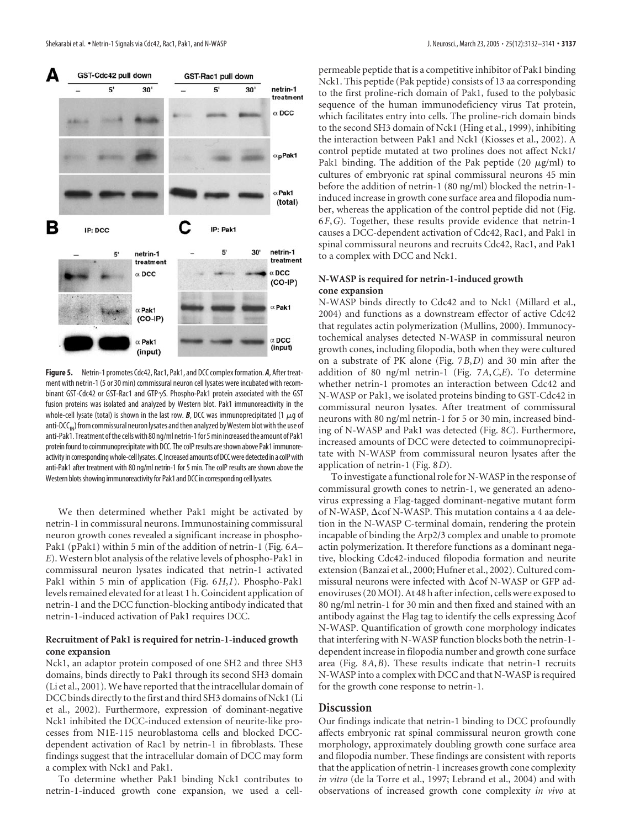

**Figure 5.** Netrin-1 promotes Cdc42, Rac1, Pak1, and DCC complex formation. *A*, After treatment with netrin-1 (5 or 30 min) commissural neuron cell lysates were incubated with recombinant GST-Cdc42 or GST-Rac1 and GTP $\gamma$ S. Phospho-Pak1 protein associated with the GST fusion proteins was isolated and analyzed by Western blot. Pak1 immunoreactivity in the whole-cell lysate (total) is shown in the last row. **B**, DCC was immunoprecipitated (1  $\mu$ g of anti-DCC<sub>IN</sub>) from commissural neuron lysates and then analyzed by Western blot with the use of anti-Pak1. Treatment of the cells with 80 ng/ml netrin-1 for 5 min increased the amount of Pak1 protein found to coimmunoprecipitate with DCC. The coIP results are shown above Pak1 immunoreactivity in corresponding whole-cell lysates. C, Increased amounts of DCC were detected in a colP with anti-Pak1 after treatment with 80 ng/ml netrin-1 for 5 min. The coIP results are shown above the Western blots showing immunoreactivity for Pak1 and DCC in corresponding cell lysates.

We then determined whether Pak1 might be activated by netrin-1 in commissural neurons. Immunostaining commissural neuron growth cones revealed a significant increase in phospho-Pak1 (pPak1) within 5 min of the addition of netrin-1 (Fig. 6*A– E*). Western blot analysis of the relative levels of phospho-Pak1 in commissural neuron lysates indicated that netrin-1 activated Pak1 within 5 min of application (Fig. 6*H*,*I*). Phospho-Pak1 levels remained elevated for at least 1 h. Coincident application of netrin-1 and the DCC function-blocking antibody indicated that netrin-1-induced activation of Pak1 requires DCC.

#### **Recruitment of Pak1 is required for netrin-1-induced growth cone expansion**

Nck1, an adaptor protein composed of one SH2 and three SH3 domains, binds directly to Pak1 through its second SH3 domain (Li et al., 2001).We have reported that the intracellular domain of DCC binds directly to the first and third SH3 domains of Nck1 (Li et al., 2002). Furthermore, expression of dominant-negative Nck1 inhibited the DCC-induced extension of neurite-like processes from N1E-115 neuroblastoma cells and blocked DCCdependent activation of Rac1 by netrin-1 in fibroblasts. These findings suggest that the intracellular domain of DCC may form a complex with Nck1 and Pak1.

To determine whether Pak1 binding Nck1 contributes to netrin-1-induced growth cone expansion, we used a cellpermeable peptide that is a competitive inhibitor of Pak1 binding Nck1. This peptide (Pak peptide) consists of 13 aa corresponding to the first proline-rich domain of Pak1, fused to the polybasic sequence of the human immunodeficiency virus Tat protein, which facilitates entry into cells. The proline-rich domain binds to the second SH3 domain of Nck1 (Hing et al., 1999), inhibiting the interaction between Pak1 and Nck1 (Kiosses et al., 2002). A control peptide mutated at two prolines does not affect Nck1/ Pak1 binding. The addition of the Pak peptide (20  $\mu$ g/ml) to cultures of embryonic rat spinal commissural neurons 45 min before the addition of netrin-1 (80 ng/ml) blocked the netrin-1 induced increase in growth cone surface area and filopodia number, whereas the application of the control peptide did not (Fig. 6*F*,*G*). Together, these results provide evidence that netrin-1 causes a DCC-dependent activation of Cdc42, Rac1, and Pak1 in spinal commissural neurons and recruits Cdc42, Rac1, and Pak1 to a complex with DCC and Nck1.

## **N-WASP is required for netrin-1-induced growth cone expansion**

N-WASP binds directly to Cdc42 and to Nck1 (Millard et al., 2004) and functions as a downstream effector of active Cdc42 that regulates actin polymerization (Mullins, 2000). Immunocytochemical analyses detected N-WASP in commissural neuron growth cones, including filopodia, both when they were cultured on a substrate of PK alone (Fig. 7*B*,*D*) and 30 min after the addition of 80 ng/ml netrin-1 (Fig. 7*A*,*C*,*E*). To determine whether netrin-1 promotes an interaction between Cdc42 and N-WASP or Pak1, we isolated proteins binding to GST-Cdc42 in commissural neuron lysates. After treatment of commissural neurons with 80 ng/ml netrin-1 for 5 or 30 min, increased binding of N-WASP and Pak1 was detected (Fig. 8*C*). Furthermore, increased amounts of DCC were detected to coimmunoprecipitate with N-WASP from commissural neuron lysates after the application of netrin-1 (Fig. 8*D*).

To investigate a functional role for N-WASP in the response of commissural growth cones to netrin-1, we generated an adenovirus expressing a Flag-tagged dominant-negative mutant form of N-WASP,  $\Delta$ cof N-WASP. This mutation contains a 4 aa deletion in the N-WASP C-terminal domain, rendering the protein incapable of binding the Arp2/3 complex and unable to promote actin polymerization. It therefore functions as a dominant negative, blocking Cdc42-induced filopodia formation and neurite extension (Banzai et al., 2000; Hufner et al., 2002). Cultured commissural neurons were infected with  $\Delta \text{cof N-WASP}$  or GFP adenoviruses (20 MOI). At 48 h after infection, cells were exposed to 80 ng/ml netrin-1 for 30 min and then fixed and stained with an antibody against the Flag tag to identify the cells expressing  $\Delta \text{cof}$ N-WASP. Quantification of growth cone morphology indicates that interfering with N-WASP function blocks both the netrin-1 dependent increase in filopodia number and growth cone surface area (Fig. 8*A*,*B*). These results indicate that netrin-1 recruits N-WASP into a complex with DCC and that N-WASP is required for the growth cone response to netrin-1.

# **Discussion**

Our findings indicate that netrin-1 binding to DCC profoundly affects embryonic rat spinal commissural neuron growth cone morphology, approximately doubling growth cone surface area and filopodia number. These findings are consistent with reports that the application of netrin-1 increases growth cone complexity *in vitro* (de la Torre et al., 1997; Lebrand et al., 2004) and with observations of increased growth cone complexity *in vivo* at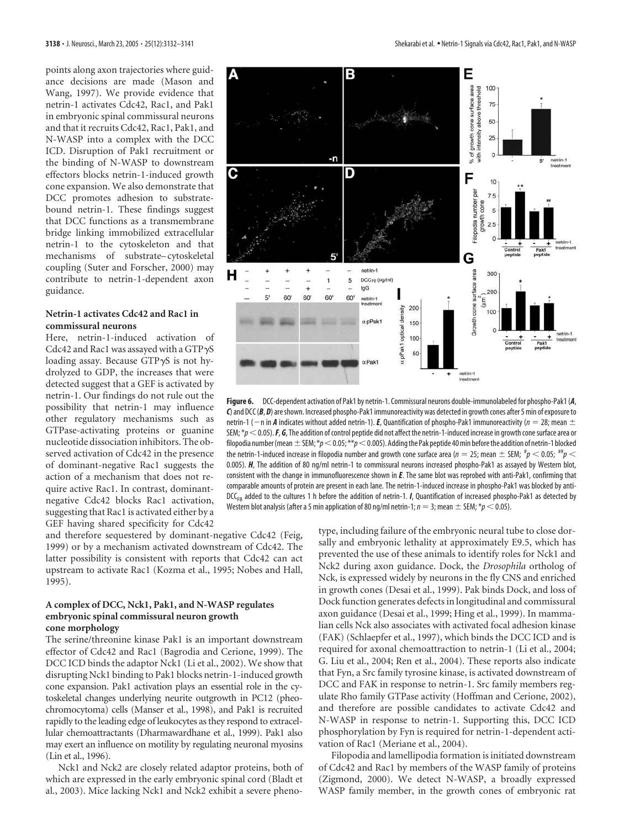points along axon trajectories where guidance decisions are made (Mason and Wang, 1997). We provide evidence that netrin-1 activates Cdc42, Rac1, and Pak1 in embryonic spinal commissural neurons and that it recruits Cdc42, Rac1, Pak1, and N-WASP into a complex with the DCC ICD. Disruption of Pak1 recruitment or the binding of N-WASP to downstream effectors blocks netrin-1-induced growth cone expansion. We also demonstrate that DCC promotes adhesion to substratebound netrin-1. These findings suggest that DCC functions as a transmembrane bridge linking immobilized extracellular netrin-1 to the cytoskeleton and that mechanisms of substrate– cytoskeletal coupling (Suter and Forscher, 2000) may contribute to netrin-1-dependent axon guidance.

# **Netrin-1 activates Cdc42 and Rac1 in commissural neurons**

Here, netrin-1-induced activation of Cdc42 and Rac1 was assayed with a GTP  $\gamma$ S loading assay. Because GTP $\gamma$ S is not hydrolyzed to GDP, the increases that were detected suggest that a GEF is activated by netrin-1. Our findings do not rule out the possibility that netrin-1 may influence other regulatory mechanisms such as GTPase-activating proteins or guanine nucleotide dissociation inhibitors. The observed activation of Cdc42 in the presence of dominant-negative Rac1 suggests the action of a mechanism that does not require active Rac1. In contrast, dominantnegative Cdc42 blocks Rac1 activation, suggesting that Rac1 is activated either by a GEF having shared specificity for Cdc42

and therefore sequestered by dominant-negative Cdc42 (Feig, 1999) or by a mechanism activated downstream of Cdc42. The latter possibility is consistent with reports that Cdc42 can act upstream to activate Rac1 (Kozma et al., 1995; Nobes and Hall, 1995).

#### **A complex of DCC, Nck1, Pak1, and N-WASP regulates embryonic spinal commissural neuron growth cone morphology**

The serine/threonine kinase Pak1 is an important downstream effector of Cdc42 and Rac1 (Bagrodia and Cerione, 1999). The DCC ICD binds the adaptor Nck1 (Li et al., 2002). We show that disrupting Nck1 binding to Pak1 blocks netrin-1-induced growth cone expansion. Pak1 activation plays an essential role in the cytoskeletal changes underlying neurite outgrowth in PC12 (pheochromocytoma) cells (Manser et al., 1998), and Pak1 is recruited rapidly to the leading edge of leukocytes as they respond to extracellular chemoattractants (Dharmawardhane et al., 1999). Pak1 also may exert an influence on motility by regulating neuronal myosins (Lin et al., 1996).

Nck1 and Nck2 are closely related adaptor proteins, both of which are expressed in the early embryonic spinal cord (Bladt et al., 2003). Mice lacking Nck1 and Nck2 exhibit a severe pheno-



**Figure 6.** DCC-dependent activation of Pak1 by netrin-1. Commissural neurons double-immunolabeled for phospho-Pak1 (*A*, *C*) and DCC (*B*, *D*) areshown. Increased phospho-Pak1 immunoreactivity was detected in growth cones after 5 min of exposure to netrin-1 ( $-$ n in *A* indicates without added netrin-1). *E*, Quantification of phospho-Pak1 immunoreactivity ( $n = 28$ ; mean  $\pm$ SEM; \* $p < 0.05$ ). **F**, **G**, The addition of control peptide did not affect the netrin-1-induced increase in growth cone surface area or filopodia number (mean  $\pm$  SEM;  $*p<$  0.05;  $**p<$  0.005). Adding the Pak peptide 40 min before the addition of netrin-1 blocked the netrin-1-induced increase in filopodia number and growth cone surface area ( $n=$  25; mean  $\pm$  SEM;  $^{\#}p<$  0.05;  $^{\#}p<$ 0.005). *H*, The addition of 80 ng/ml netrin-1 to commissural neurons increased phospho-Pak1 as assayed by Western blot, consistent with the change in immunofluorescence shown in *E*. The same blot was reprobed with anti-Pak1, confirming that comparable amounts of protein are present in each lane. The netrin-1-induced increase in phospho-Pak1 was blocked by anti- $DCC_{FR}$  added to the cultures 1 h before the addition of netrin-1. *I*, Quantification of increased phospho-Pak1 as detected by Western blot analysis (after a 5 min application of 80 ng/ml netrin-1;  $n = 3$ ; mean  $\pm$  SEM; \* $p < 0.05$ ).

type, including failure of the embryonic neural tube to close dorsally and embryonic lethality at approximately E9.5, which has prevented the use of these animals to identify roles for Nck1 and Nck2 during axon guidance. Dock, the *Drosophila* ortholog of Nck, is expressed widely by neurons in the fly CNS and enriched in growth cones (Desai et al., 1999). Pak binds Dock, and loss of Dock function generates defects in longitudinal and commissural axon guidance (Desai et al., 1999; Hing et al., 1999). In mammalian cells Nck also associates with activated focal adhesion kinase (FAK) (Schlaepfer et al., 1997), which binds the DCC ICD and is required for axonal chemoattraction to netrin-1 (Li et al., 2004; G. Liu et al., 2004; Ren et al., 2004). These reports also indicate that Fyn, a Src family tyrosine kinase, is activated downstream of DCC and FAK in response to netrin-1. Src family members regulate Rho family GTPase activity (Hoffman and Cerione, 2002), and therefore are possible candidates to activate Cdc42 and N-WASP in response to netrin-1. Supporting this, DCC ICD phosphorylation by Fyn is required for netrin-1-dependent activation of Rac1 (Meriane et al., 2004).

Filopodia and lamellipodia formation is initiated downstream of Cdc42 and Rac1 by members of the WASP family of proteins (Zigmond, 2000). We detect N-WASP, a broadly expressed WASP family member, in the growth cones of embryonic rat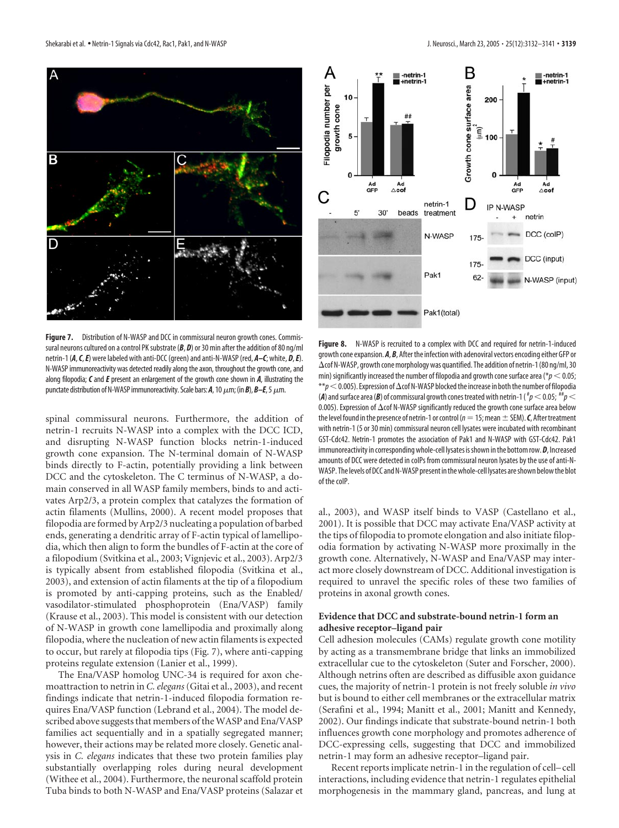

**Figure 7.** Distribution of N-WASP and DCC in commissural neuron growth cones. Commissural neurons cultured on a control PK substrate ( $B$ ,  $D$ ) or 30 min after the addition of 80 ng/ml netrin-1 (*A*,*C*,*E*) were labeled with anti-DCC (green) and anti-N-WASP (red, *A–C*; white, *D*,*E*). N-WASP immunoreactivity was detected readily along the axon, throughout the growth cone, and along filopodia; *C* and *E* present an enlargement of the growth cone shown in *A*, illustrating the punctate distribution of N-WASP immunoreactivity. Scale bars:  $A$ , 10  $\mu$ m; (in  $B$ ),  $B$ – $E$ , 5  $\mu$ m.

spinal commissural neurons. Furthermore, the addition of netrin-1 recruits N-WASP into a complex with the DCC ICD, and disrupting N-WASP function blocks netrin-1-induced growth cone expansion. The N-terminal domain of N-WASP binds directly to F-actin, potentially providing a link between DCC and the cytoskeleton. The C terminus of N-WASP, a domain conserved in all WASP family members, binds to and activates Arp2/3, a protein complex that catalyzes the formation of actin filaments (Mullins, 2000). A recent model proposes that filopodia are formed by Arp2/3 nucleating a population of barbed ends, generating a dendritic array of F-actin typical of lamellipodia, which then align to form the bundles of F-actin at the core of a filopodium (Svitkina et al., 2003; Vignjevic et al., 2003). Arp2/3 is typically absent from established filopodia (Svitkina et al., 2003), and extension of actin filaments at the tip of a filopodium is promoted by anti-capping proteins, such as the Enabled/ vasodilator-stimulated phosphoprotein (Ena/VASP) family (Krause et al., 2003). This model is consistent with our detection of N-WASP in growth cone lamellipodia and proximally along filopodia, where the nucleation of new actin filaments is expected to occur, but rarely at filopodia tips (Fig. 7), where anti-capping proteins regulate extension (Lanier et al., 1999).

The Ena/VASP homolog UNC-34 is required for axon chemoattraction to netrin in *C. elegans*(Gitai et al., 2003), and recent findings indicate that netrin-1-induced filopodia formation requires Ena/VASP function (Lebrand et al., 2004). The model described above suggests that members of the WASP and Ena/VASP families act sequentially and in a spatially segregated manner; however, their actions may be related more closely. Genetic analysis in *C. elegans* indicates that these two protein families play substantially overlapping roles during neural development (Withee et al., 2004). Furthermore, the neuronal scaffold protein Tuba binds to both N-WASP and Ena/VASP proteins (Salazar et



Figure 8. N-WASP is recruited to a complex with DCC and required for netrin-1-induced growth cone expansion. A, B, After the infection with adenoviral vectors encoding either GFP or  $\Delta$ cof N-WASP, growth cone morphology was quantified. The addition of netrin-1 (80 ng/ml, 30 min) significantly increased the number of filopodia and growth cone surface area ( $p < 0.05$ ;  $**$ *p* $<$  0.005). Expression of  $\Delta$ cof N-WASP blocked the increase in both the number of filopodia (**A**) and surface area (**B**) of commissural growth cones treated with netrin-1 (  $^{\#}p$   $<$  0.05;  $^{\#} \#p$   $<$ 0.005). Expression of  $\Delta$ cof N-WASP significantly reduced the growth cone surface area below the level found in the presence of netrin-1 or control ( $n=15$ ; mean  $\pm$  SEM). *C*, After treatment with netrin-1 (5 or 30 min) commissural neuron cell lysates were incubated with recombinant GST-Cdc42. Netrin-1 promotes the association of Pak1 and N-WASP with GST-Cdc42. Pak1 immunoreactivity in corresponding whole-cell lysates is shown in the bottom row. **D**, Increased amounts of DCC were detected in coIPs from commissural neuron lysates by the use of anti-N-WASP. The levels of DCC and N-WASP present in the whole-cell lysates are shown below the blot of the coIP.

al., 2003), and WASP itself binds to VASP (Castellano et al., 2001). It is possible that DCC may activate Ena/VASP activity at the tips of filopodia to promote elongation and also initiate filopodia formation by activating N-WASP more proximally in the growth cone. Alternatively, N-WASP and Ena/VASP may interact more closely downstream of DCC. Additional investigation is required to unravel the specific roles of these two families of proteins in axonal growth cones.

# **Evidence that DCC and substrate-bound netrin-1 form an adhesive receptor–ligand pair**

Cell adhesion molecules (CAMs) regulate growth cone motility by acting as a transmembrane bridge that links an immobilized extracellular cue to the cytoskeleton (Suter and Forscher, 2000). Although netrins often are described as diffusible axon guidance cues, the majority of netrin-1 protein is not freely soluble *in vivo* but is bound to either cell membranes or the extracellular matrix (Serafini et al., 1994; Manitt et al., 2001; Manitt and Kennedy, 2002). Our findings indicate that substrate-bound netrin-1 both influences growth cone morphology and promotes adherence of DCC-expressing cells, suggesting that DCC and immobilized netrin-1 may form an adhesive receptor–ligand pair.

Recent reports implicate netrin-1 in the regulation of cell– cell interactions, including evidence that netrin-1 regulates epithelial morphogenesis in the mammary gland, pancreas, and lung at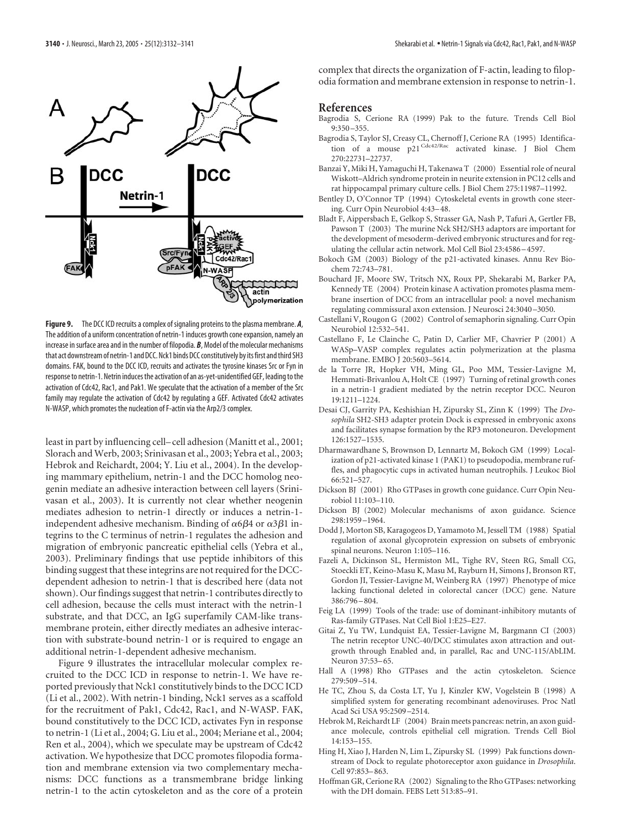

**Figure 9.** The DCC ICD recruits a complex of signaling proteins to the plasma membrane. *A*, The addition of a uniform concentration of netrin-1 induces growth cone expansion, namely an increase in surface area and in the number of filopodia. *B*, Model of the molecular mechanisms that act downstream of netrin-1 and DCC. Nck1 binds DCC constitutively by its first and third SH3 domains. FAK, bound to the DCC ICD, recruits and activates the tyrosine kinases Src or Fyn in response to netrin-1. Netrin induces the activation of an as-yet-unidentified GEF, leading to the activation of Cdc42, Rac1, and Pak1. We speculate that the activation of a member of the Src family may regulate the activation of Cdc42 by regulating a GEF. Activated Cdc42 activates N-WASP, which promotes the nucleation of F-actin via the Arp2/3 complex.

least in part by influencing cell– cell adhesion (Manitt et al., 2001; Slorach and Werb, 2003; Srinivasan et al., 2003; Yebra et al., 2003; Hebrok and Reichardt, 2004; Y. Liu et al., 2004). In the developing mammary epithelium, netrin-1 and the DCC homolog neogenin mediate an adhesive interaction between cell layers (Srinivasan et al., 2003). It is currently not clear whether neogenin mediates adhesion to netrin-1 directly or induces a netrin-1 independent adhesive mechanism. Binding of  $\alpha$ 6 $\beta$ 4 or  $\alpha$ 3 $\beta$ 1 integrins to the C terminus of netrin-1 regulates the adhesion and migration of embryonic pancreatic epithelial cells (Yebra et al., 2003). Preliminary findings that use peptide inhibitors of this binding suggest that these integrins are not required for the DCCdependent adhesion to netrin-1 that is described here (data not shown). Our findings suggest that netrin-1 contributes directly to cell adhesion, because the cells must interact with the netrin-1 substrate, and that DCC, an IgG superfamily CAM-like transmembrane protein, either directly mediates an adhesive interaction with substrate-bound netrin-1 or is required to engage an additional netrin-1-dependent adhesive mechanism.

Figure 9 illustrates the intracellular molecular complex recruited to the DCC ICD in response to netrin-1. We have reported previously that Nck1 constitutively binds to the DCC ICD (Li et al., 2002). With netrin-1 binding, Nck1 serves as a scaffold for the recruitment of Pak1, Cdc42, Rac1, and N-WASP. FAK, bound constitutively to the DCC ICD, activates Fyn in response to netrin-1 (Li et al., 2004; G. Liu et al., 2004; Meriane et al., 2004; Ren et al., 2004), which we speculate may be upstream of Cdc42 activation. We hypothesize that DCC promotes filopodia formation and membrane extension via two complementary mechanisms: DCC functions as a transmembrane bridge linking netrin-1 to the actin cytoskeleton and as the core of a protein

complex that directs the organization of F-actin, leading to filopodia formation and membrane extension in response to netrin-1.

#### **References**

- Bagrodia S, Cerione RA (1999) Pak to the future. Trends Cell Biol 9:350 –355.
- Bagrodia S, Taylor SJ, Creasy CL, Chernoff J, Cerione RA (1995) Identification of a mouse p21<sup>Cdc42/Rac</sup> activated kinase. J Biol Chem 270:22731–22737.
- Banzai Y, Miki H, Yamaguchi H, Takenawa T (2000) Essential role of neural Wiskott–Aldrich syndrome protein in neurite extension in PC12 cells and rat hippocampal primary culture cells. J Biol Chem 275:11987–11992.
- Bentley D, O'Connor TP (1994) Cytoskeletal events in growth cone steering. Curr Opin Neurobiol 4:43–48.
- Bladt F, Aippersbach E, Gelkop S, Strasser GA, Nash P, Tafuri A, Gertler FB, Pawson T (2003) The murine Nck SH2/SH3 adaptors are important for the development of mesoderm-derived embryonic structures and for regulating the cellular actin network. Mol Cell Biol 23:4586 –4597.
- Bokoch GM (2003) Biology of the p21-activated kinases. Annu Rev Biochem 72:743–781.
- Bouchard JF, Moore SW, Tritsch NX, Roux PP, Shekarabi M, Barker PA, Kennedy TE (2004) Protein kinase A activation promotes plasma membrane insertion of DCC from an intracellular pool: a novel mechanism regulating commissural axon extension. J Neurosci 24:3040 –3050.
- Castellani V, Rougon G (2002) Control of semaphorin signaling. Curr Opin Neurobiol 12:532–541.
- Castellano F, Le Clainche C, Patin D, Carlier MF, Chavrier P (2001) A WASp–VASP complex regulates actin polymerization at the plasma membrane. EMBO J 20:5603–5614.
- de la Torre JR, Hopker VH, Ming GL, Poo MM, Tessier-Lavigne M, Hemmati-Brivanlou A, Holt CE (1997) Turning of retinal growth cones in a netrin-1 gradient mediated by the netrin receptor DCC. Neuron 19:1211–1224.
- Desai CJ, Garrity PA, Keshishian H, Zipursky SL, Zinn K (1999) The *Drosophila* SH2-SH3 adapter protein Dock is expressed in embryonic axons and facilitates synapse formation by the RP3 motoneuron. Development 126:1527–1535.
- Dharmawardhane S, Brownson D, Lennartz M, Bokoch GM (1999) Localization of p21-activated kinase 1 (PAK1) to pseudopodia, membrane ruffles, and phagocytic cups in activated human neutrophils. J Leukoc Biol 66:521–527.
- Dickson BJ (2001) Rho GTPases in growth cone guidance. Curr Opin Neurobiol 11:103–110.
- Dickson BJ (2002) Molecular mechanisms of axon guidance. Science 298:1959 –1964.
- Dodd J, Morton SB, Karagogeos D, Yamamoto M, Jessell TM (1988) Spatial regulation of axonal glycoprotein expression on subsets of embryonic spinal neurons. Neuron 1:105–116.
- Fazeli A, Dickinson SL, Hermiston ML, Tighe RV, Steen RG, Small CG, Stoeckli ET, Keino-Masu K, Masu M, Rayburn H, Simons J, Bronson RT, Gordon JI, Tessier-Lavigne M, Weinberg RA (1997) Phenotype of mice lacking functional deleted in colorectal cancer (DCC) gene. Nature 386:796 –804.
- Feig LA (1999) Tools of the trade: use of dominant-inhibitory mutants of Ras-family GTPases. Nat Cell Biol 1:E25–E27.
- Gitai Z, Yu TW, Lundquist EA, Tessier-Lavigne M, Bargmann CI (2003) The netrin receptor UNC-40/DCC stimulates axon attraction and outgrowth through Enabled and, in parallel, Rac and UNC-115/AbLIM. Neuron 37:53–65.
- Hall A (1998) Rho GTPases and the actin cytoskeleton. Science 279:509 –514.
- He TC, Zhou S, da Costa LT, Yu J, Kinzler KW, Vogelstein B (1998) A simplified system for generating recombinant adenoviruses. Proc Natl Acad Sci USA 95:2509 –2514.
- Hebrok M, Reichardt LF (2004) Brain meets pancreas: netrin, an axon guidance molecule, controls epithelial cell migration. Trends Cell Biol 14:153–155.
- Hing H, Xiao J, Harden N, Lim L, Zipursky SL (1999) Pak functions downstream of Dock to regulate photoreceptor axon guidance in *Drosophila*. Cell 97:853–863.
- Hoffman GR, Cerione RA (2002) Signaling to the Rho GTPases: networking with the DH domain. FEBS Lett 513:85–91.